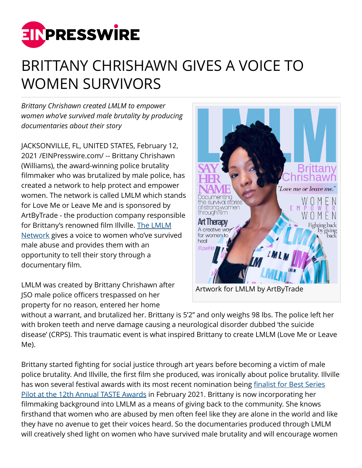

## BRITTANY CHRISHAWN GIVES A VOICE TO WOMEN SURVIVORS

*Brittany Chrishawn created LMLM to empower women who've survived male brutality by producing documentaries about their story*

JACKSONVILLE, FL, UNITED STATES, February 12, 2021 /[EINPresswire.com](http://www.einpresswire.com)/ -- Brittany Chrishawn (Williams), the award-winning police brutality filmmaker who was brutalized by male police, has created a network to help protect and empower women. The network is called LMLM which stands for Love Me or Leave Me and is sponsored by ArtByTrade - the production company responsible for Brittany's renowned film Illville. [The LMLM](http://lmlmnetwork.com/) [Network](http://lmlmnetwork.com/) gives a voice to women who've survived male abuse and provides them with an opportunity to tell their story through a documentary film.

LMLM was created by Brittany Chrishawn after JSO male police officers trespassed on her property for no reason, entered her home



without a warrant, and brutalized her. Brittany is 5'2'' and only weighs 98 lbs. The police left her with broken teeth and nerve damage causing a neurological disorder dubbed 'the suicide disease' (CRPS). This traumatic event is what inspired Brittany to create LMLM (Love Me or Leave Me).

Brittany started fighting for social justice through art years before becoming a victim of male police brutality. And Illville, the first film she produced, was ironically about police brutality. Illville has won several festival awards with its most recent nomination being [finalist for Best Series](http://www.thetasteawards.com/12th-annual-taste-awards-nominees-finalists-and-honorees/) [Pilot at the 12th Annual TASTE Awards](http://www.thetasteawards.com/12th-annual-taste-awards-nominees-finalists-and-honorees/) in February 2021. Brittany is now incorporating her filmmaking background into LMLM as a means of giving back to the community. She knows firsthand that women who are abused by men often feel like they are alone in the world and like they have no avenue to get their voices heard. So the documentaries produced through LMLM will creatively shed light on women who have survived male brutality and will encourage women